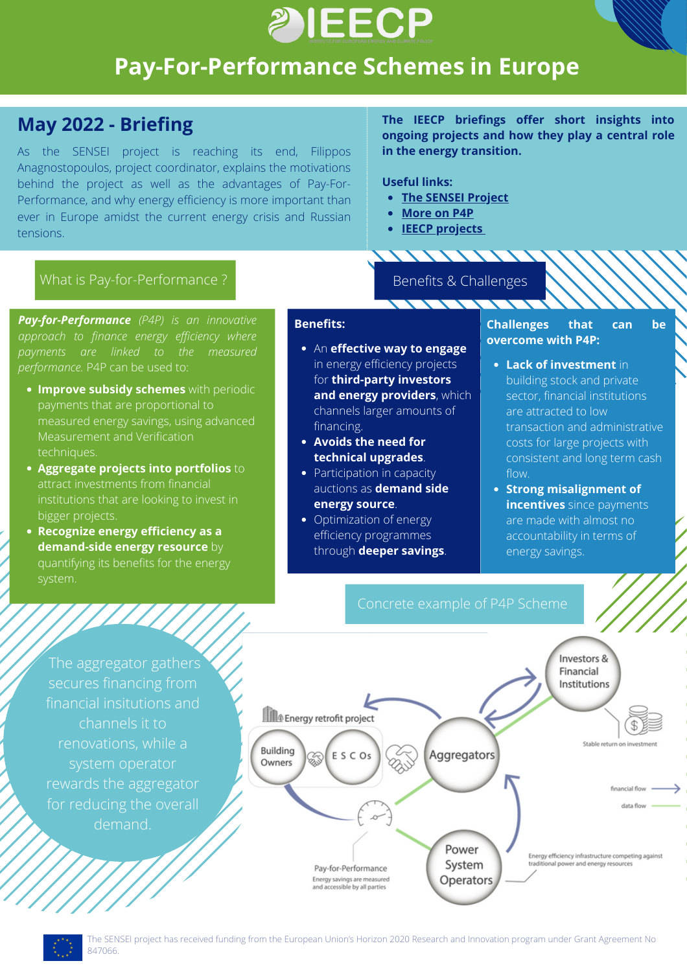

# **Pay-For-Performance Schemes in Europe**

## **May 2022 - Briefing**

As the SENSEI project is reaching its end, Filippos Anagnostopoulos, project coordinator, explains the motivations behind the project as well as the advantages of Pay-For-Performance, and why energy efficiency is more important than ever in Europe amidst the current energy crisis and Russian tensions.

**The IEECP briefings offer short insights into ongoing projects and how they play a central role in the energy transition.**

### **Useful links:**

**The SENSEI [Project](https://senseih2020.eu/)**

- **[More](https://senseih2020.eu/home/p4p/) on P4P**
- **IEECP [projects](https://ieecp.org/projects-grid-with-sidebar/)**

### What is Pay-for-Performance ? Benefits & Challenges

*Pay-for-Performance (P4P) is an innovative approach to finance energy efficiency where payments are linked to the measured performance.* P4P can be used to:

- **Improve subsidy schemes** with periodic payments that are proportional to measured energy savings, using advanced Measurement and Verification techniques.
- **Aggregate projects into portfolios** to institutions that are looking to invest in bigger projects.
- **Recognize energy efficiency as a demand-side energy resource** by quantifying its benefits for the energy system.

### **Benefits:**

- An **effective way to engage** in energy efficiency projects for **third-party investors and energy providers**, which channels larger amounts of financing.
- **Avoids the need for technical upgrades**.
- Participation in capacity auctions as **demand side energy source**.
- Optimization of energy efficiency programmes through **deeper savings**.

### **Challenges that can be overcome with P4P:**

- **Lack of investment** in building stock and private sector, financial institutions are attracted to low transaction and administrative costs for large projects with consistent and long term cash flow.
- **Strong misalignment of incentives** since payments are made with almost no accountability in terms of energy savings.



The aggregator gathers financial insitutions and channels it to renovations, while a system operator rewards the aggregator demand.